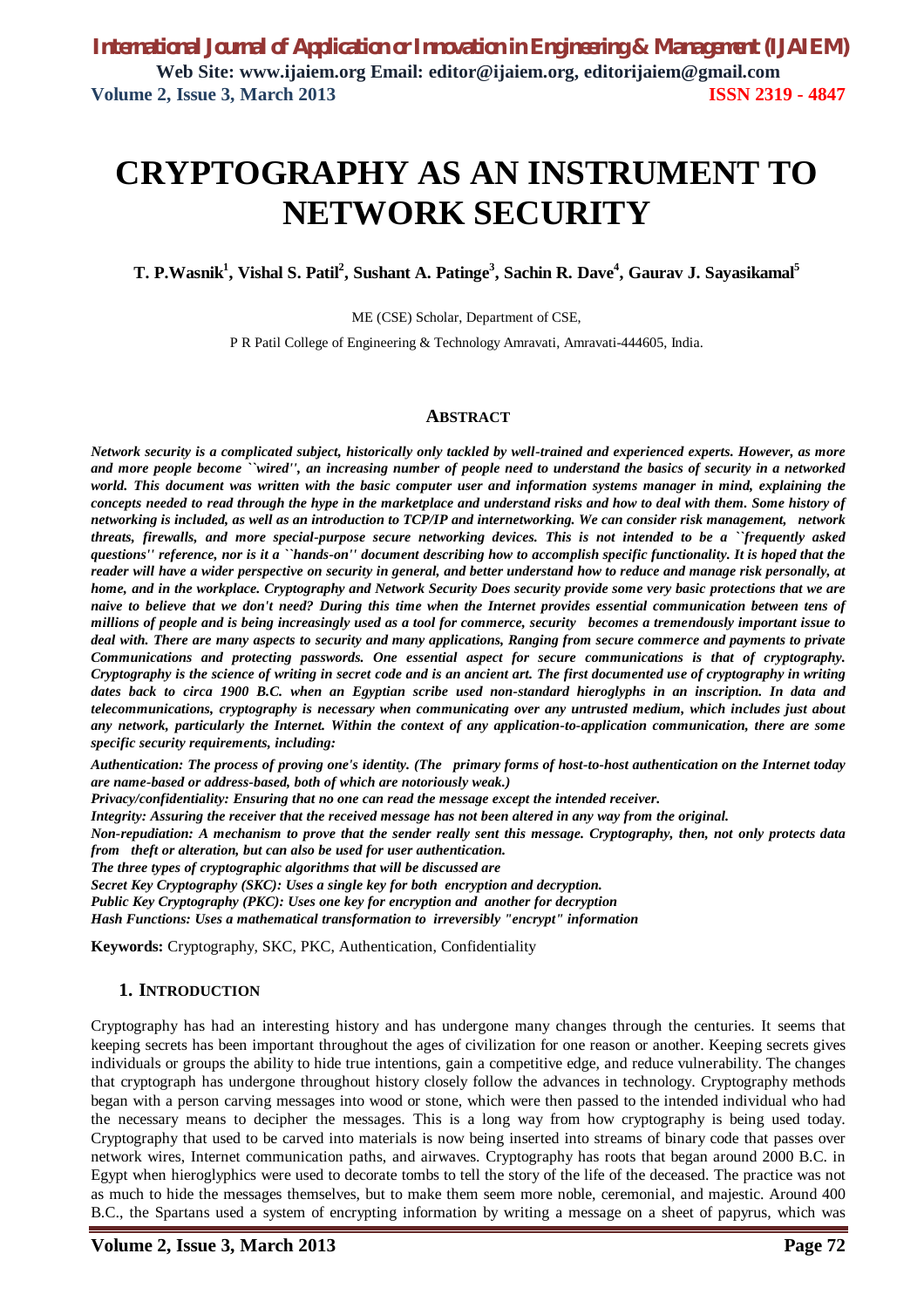# **CRYPTOGRAPHY AS AN INSTRUMENT TO NETWORK SECURITY**

**T. P.Wasnik<sup>1</sup> , Vishal S. Patil<sup>2</sup> , Sushant A. Patinge<sup>3</sup> , Sachin R. Dave<sup>4</sup> , Gaurav J. Sayasikamal<sup>5</sup>**

ME (CSE) Scholar, Department of CSE,

P R Patil College of Engineering & Technology Amravati, Amravati-444605, India.

#### **ABSTRACT**

*Network security is a complicated subject, historically only tackled by well-trained and experienced experts. However, as more and more people become ``wired'', an increasing number of people need to understand the basics of security in a networked world. This document was written with the basic computer user and information systems manager in mind, explaining the concepts needed to read through the hype in the marketplace and understand risks and how to deal with them. Some history of networking is included, as well as an introduction to TCP/IP and internetworking. We can consider risk management, network threats, firewalls, and more special-purpose secure networking devices. This is not intended to be a ``frequently asked questions'' reference, nor is it a ``hands-on'' document describing how to accomplish specific functionality. It is hoped that the reader will have a wider perspective on security in general, and better understand how to reduce and manage risk personally, at home, and in the workplace. Cryptography and Network Security Does security provide some very basic protections that we are naive to believe that we don't need? During this time when the Internet provides essential communication between tens of millions of people and is being increasingly used as a tool for commerce, security becomes a tremendously important issue to deal with. There are many aspects to security and many applications, Ranging from secure commerce and payments to private Communications and protecting passwords. One essential aspect for secure communications is that of cryptography. Cryptography is the science of writing in secret code and is an ancient art. The first documented use of cryptography in writing dates back to circa 1900 B.C. when an Egyptian scribe used non-standard hieroglyphs in an inscription. In data and telecommunications, cryptography is necessary when communicating over any untrusted medium, which includes just about any network, particularly the Internet. Within the context of any application-to-application communication, there are some specific security requirements, including:* 

*Authentication: The process of proving one's identity. (The primary forms of host-to-host authentication on the Internet today are name-based or address-based, both of which are notoriously weak.)* 

*Privacy/confidentiality: Ensuring that no one can read the message except the intended receiver.*

*Integrity: Assuring the receiver that the received message has not been altered in any way from the original.*

*Non-repudiation: A mechanism to prove that the sender really sent this message. Cryptography, then, not only protects data from theft or alteration, but can also be used for user authentication.* 

*The three types of cryptographic algorithms that will be discussed are* 

*Secret Key Cryptography (SKC): Uses a single key for both encryption and decryption.*

*Public Key Cryptography (PKC): Uses one key for encryption and another for decryption*

*Hash Functions: Uses a mathematical transformation to irreversibly "encrypt" information* 

**Keywords:** Cryptography, SKC, PKC, Authentication, Confidentiality

### **1. INTRODUCTION**

Cryptography has had an interesting history and has undergone many changes through the centuries. It seems that keeping secrets has been important throughout the ages of civilization for one reason or another. Keeping secrets gives individuals or groups the ability to hide true intentions, gain a competitive edge, and reduce vulnerability. The changes that cryptograph has undergone throughout history closely follow the advances in technology. Cryptography methods began with a person carving messages into wood or stone, which were then passed to the intended individual who had the necessary means to decipher the messages. This is a long way from how cryptography is being used today. Cryptography that used to be carved into materials is now being inserted into streams of binary code that passes over network wires, Internet communication paths, and airwaves. Cryptography has roots that began around 2000 B.C. in Egypt when hieroglyphics were used to decorate tombs to tell the story of the life of the deceased. The practice was not as much to hide the messages themselves, but to make them seem more noble, ceremonial, and majestic. Around 400 B.C., the Spartans used a system of encrypting information by writing a message on a sheet of papyrus, which was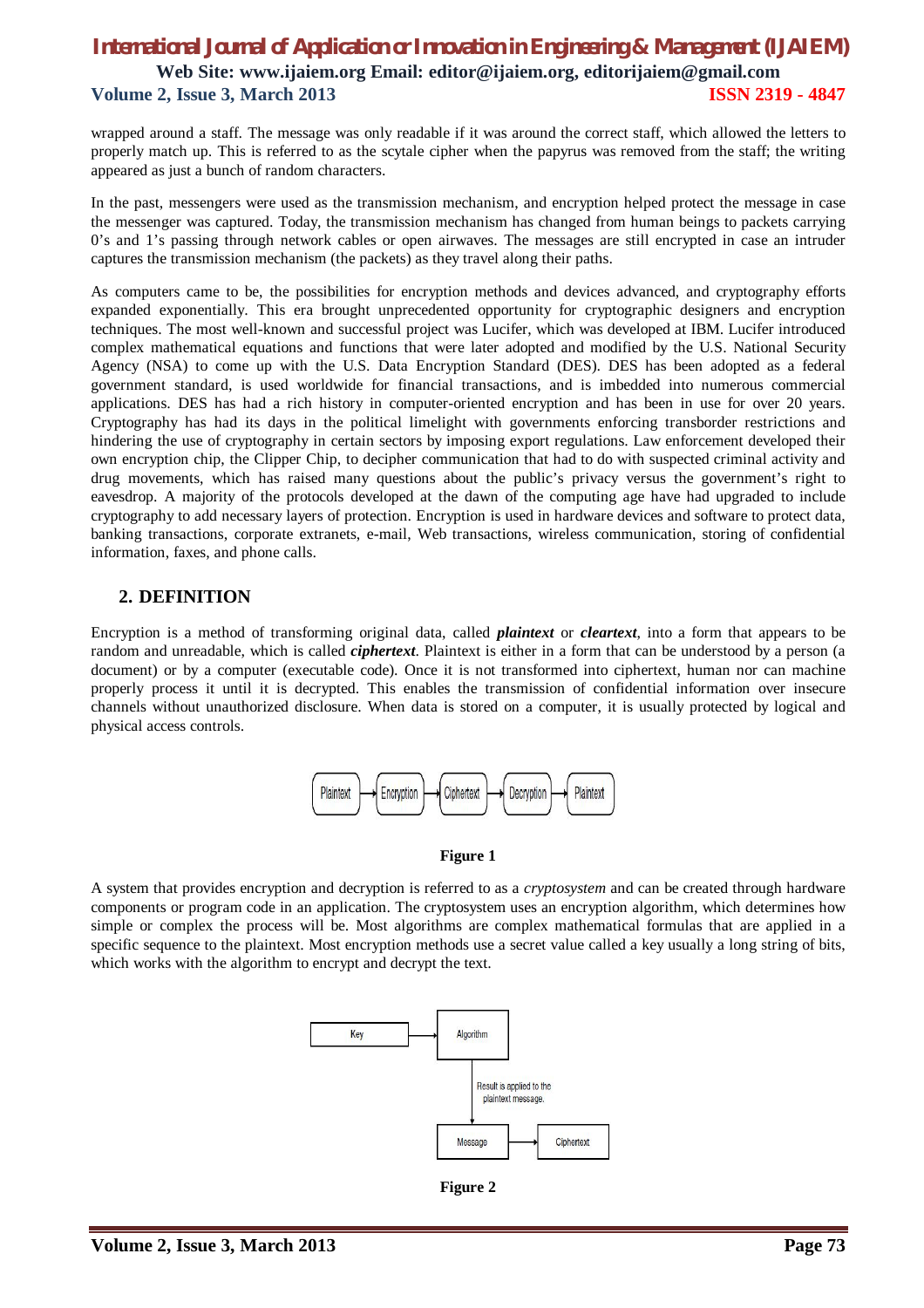wrapped around a staff. The message was only readable if it was around the correct staff, which allowed the letters to properly match up. This is referred to as the scytale cipher when the papyrus was removed from the staff; the writing appeared as just a bunch of random characters.

In the past, messengers were used as the transmission mechanism, and encryption helped protect the message in case the messenger was captured. Today, the transmission mechanism has changed from human beings to packets carrying 0's and 1's passing through network cables or open airwaves. The messages are still encrypted in case an intruder captures the transmission mechanism (the packets) as they travel along their paths.

As computers came to be, the possibilities for encryption methods and devices advanced, and cryptography efforts expanded exponentially. This era brought unprecedented opportunity for cryptographic designers and encryption techniques. The most well-known and successful project was Lucifer, which was developed at IBM. Lucifer introduced complex mathematical equations and functions that were later adopted and modified by the U.S. National Security Agency (NSA) to come up with the U.S. Data Encryption Standard (DES). DES has been adopted as a federal government standard, is used worldwide for financial transactions, and is imbedded into numerous commercial applications. DES has had a rich history in computer-oriented encryption and has been in use for over 20 years. Cryptography has had its days in the political limelight with governments enforcing transborder restrictions and hindering the use of cryptography in certain sectors by imposing export regulations. Law enforcement developed their own encryption chip, the Clipper Chip, to decipher communication that had to do with suspected criminal activity and drug movements, which has raised many questions about the public's privacy versus the government's right to eavesdrop. A majority of the protocols developed at the dawn of the computing age have had upgraded to include cryptography to add necessary layers of protection. Encryption is used in hardware devices and software to protect data, banking transactions, corporate extranets, e-mail, Web transactions, wireless communication, storing of confidential information, faxes, and phone calls.

### **2. DEFINITION**

Encryption is a method of transforming original data, called *plaintext* or *cleartext*, into a form that appears to be random and unreadable, which is called *ciphertext*. Plaintext is either in a form that can be understood by a person (a document) or by a computer (executable code). Once it is not transformed into ciphertext, human nor can machine properly process it until it is decrypted. This enables the transmission of confidential information over insecure channels without unauthorized disclosure. When data is stored on a computer, it is usually protected by logical and physical access controls.



#### **Figure 1**

A system that provides encryption and decryption is referred to as a *cryptosystem* and can be created through hardware components or program code in an application. The cryptosystem uses an encryption algorithm, which determines how simple or complex the process will be. Most algorithms are complex mathematical formulas that are applied in a specific sequence to the plaintext. Most encryption methods use a secret value called a key usually a long string of bits, which works with the algorithm to encrypt and decrypt the text.



**Figure 2**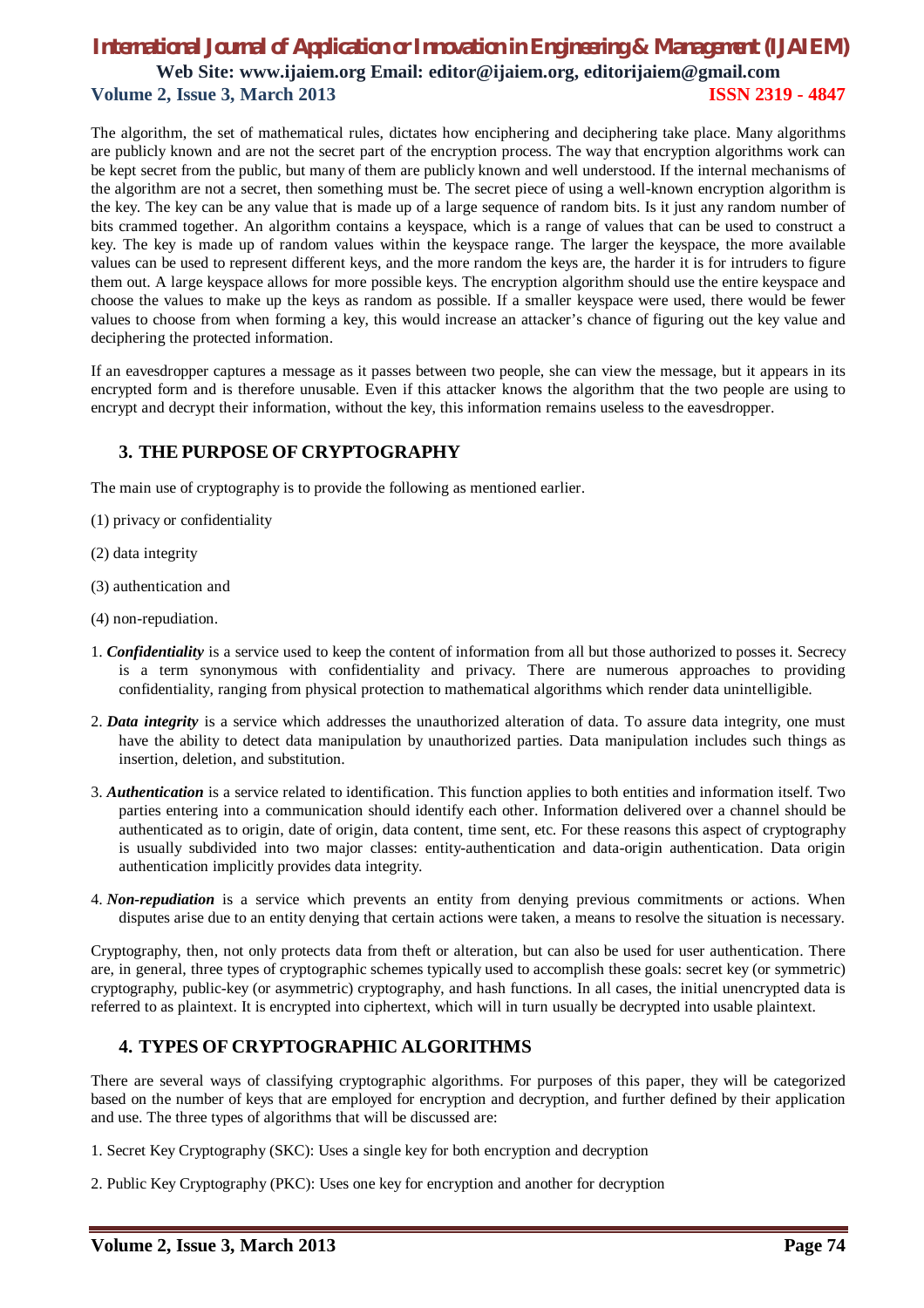The algorithm, the set of mathematical rules, dictates how enciphering and deciphering take place. Many algorithms are publicly known and are not the secret part of the encryption process. The way that encryption algorithms work can be kept secret from the public, but many of them are publicly known and well understood. If the internal mechanisms of the algorithm are not a secret, then something must be. The secret piece of using a well-known encryption algorithm is the key. The key can be any value that is made up of a large sequence of random bits. Is it just any random number of bits crammed together. An algorithm contains a keyspace, which is a range of values that can be used to construct a key. The key is made up of random values within the keyspace range. The larger the keyspace, the more available values can be used to represent different keys, and the more random the keys are, the harder it is for intruders to figure them out. A large keyspace allows for more possible keys. The encryption algorithm should use the entire keyspace and choose the values to make up the keys as random as possible. If a smaller keyspace were used, there would be fewer values to choose from when forming a key, this would increase an attacker's chance of figuring out the key value and deciphering the protected information.

If an eavesdropper captures a message as it passes between two people, she can view the message, but it appears in its encrypted form and is therefore unusable. Even if this attacker knows the algorithm that the two people are using to encrypt and decrypt their information, without the key, this information remains useless to the eavesdropper.

### **3. THE PURPOSE OF CRYPTOGRAPHY**

The main use of cryptography is to provide the following as mentioned earlier.

- (1) privacy or confidentiality
- (2) data integrity
- (3) authentication and
- (4) non-repudiation.
- 1. *Confidentiality* is a service used to keep the content of information from all but those authorized to posses it. Secrecy is a term synonymous with confidentiality and privacy. There are numerous approaches to providing confidentiality, ranging from physical protection to mathematical algorithms which render data unintelligible.
- 2. *Data integrity* is a service which addresses the unauthorized alteration of data. To assure data integrity, one must have the ability to detect data manipulation by unauthorized parties. Data manipulation includes such things as insertion, deletion, and substitution.
- 3. *Authentication* is a service related to identification. This function applies to both entities and information itself. Two parties entering into a communication should identify each other. Information delivered over a channel should be authenticated as to origin, date of origin, data content, time sent, etc. For these reasons this aspect of cryptography is usually subdivided into two major classes: entity-authentication and data-origin authentication. Data origin authentication implicitly provides data integrity.
- 4. *Non-repudiation* is a service which prevents an entity from denying previous commitments or actions. When disputes arise due to an entity denying that certain actions were taken, a means to resolve the situation is necessary.

Cryptography, then, not only protects data from theft or alteration, but can also be used for user authentication. There are, in general, three types of cryptographic schemes typically used to accomplish these goals: secret key (or symmetric) cryptography, public-key (or asymmetric) cryptography, and hash functions. In all cases, the initial unencrypted data is referred to as plaintext. It is encrypted into ciphertext, which will in turn usually be decrypted into usable plaintext.

### **4. TYPES OF CRYPTOGRAPHIC ALGORITHMS**

There are several ways of classifying cryptographic algorithms. For purposes of this paper, they will be categorized based on the number of keys that are employed for encryption and decryption, and further defined by their application and use. The three types of algorithms that will be discussed are:

- 1. Secret Key Cryptography (SKC): Uses a single key for both encryption and decryption
- 2. Public Key Cryptography (PKC): Uses one key for encryption and another for decryption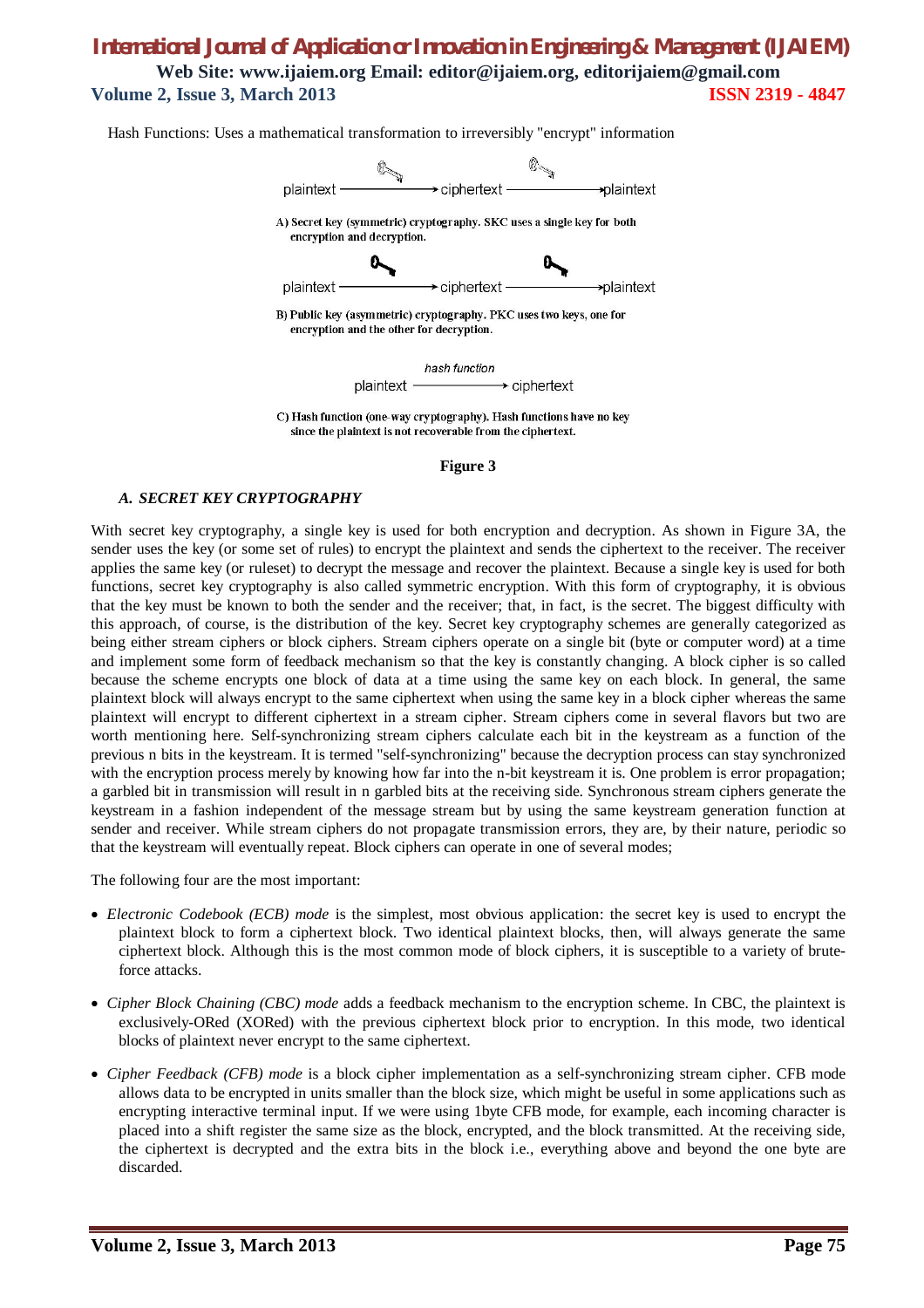Hash Functions: Uses a mathematical transformation to irreversibly "encrypt" information



#### **Figure 3**

#### *A. SECRET KEY CRYPTOGRAPHY*

With secret key cryptography, a single key is used for both encryption and decryption. As shown in Figure 3A, the sender uses the key (or some set of rules) to encrypt the plaintext and sends the ciphertext to the receiver. The receiver applies the same key (or ruleset) to decrypt the message and recover the plaintext. Because a single key is used for both functions, secret key cryptography is also called symmetric encryption. With this form of cryptography, it is obvious that the key must be known to both the sender and the receiver; that, in fact, is the secret. The biggest difficulty with this approach, of course, is the distribution of the key. Secret key cryptography schemes are generally categorized as being either stream ciphers or block ciphers. Stream ciphers operate on a single bit (byte or computer word) at a time and implement some form of feedback mechanism so that the key is constantly changing. A block cipher is so called because the scheme encrypts one block of data at a time using the same key on each block. In general, the same plaintext block will always encrypt to the same ciphertext when using the same key in a block cipher whereas the same plaintext will encrypt to different ciphertext in a stream cipher. Stream ciphers come in several flavors but two are worth mentioning here. Self-synchronizing stream ciphers calculate each bit in the keystream as a function of the previous n bits in the keystream. It is termed "self-synchronizing" because the decryption process can stay synchronized with the encryption process merely by knowing how far into the n-bit keystream it is. One problem is error propagation; a garbled bit in transmission will result in n garbled bits at the receiving side. Synchronous stream ciphers generate the keystream in a fashion independent of the message stream but by using the same keystream generation function at sender and receiver. While stream ciphers do not propagate transmission errors, they are, by their nature, periodic so that the keystream will eventually repeat. Block ciphers can operate in one of several modes;

The following four are the most important:

- *Electronic Codebook (ECB) mode* is the simplest, most obvious application: the secret key is used to encrypt the plaintext block to form a ciphertext block. Two identical plaintext blocks, then, will always generate the same ciphertext block. Although this is the most common mode of block ciphers, it is susceptible to a variety of bruteforce attacks.
- *Cipher Block Chaining (CBC) mode* adds a feedback mechanism to the encryption scheme. In CBC, the plaintext is exclusively-ORed (XORed) with the previous ciphertext block prior to encryption. In this mode, two identical blocks of plaintext never encrypt to the same ciphertext.
- *Cipher Feedback (CFB) mode* is a block cipher implementation as a self-synchronizing stream cipher. CFB mode allows data to be encrypted in units smaller than the block size, which might be useful in some applications such as encrypting interactive terminal input. If we were using 1byte CFB mode, for example, each incoming character is placed into a shift register the same size as the block, encrypted, and the block transmitted. At the receiving side, the ciphertext is decrypted and the extra bits in the block i.e., everything above and beyond the one byte are discarded.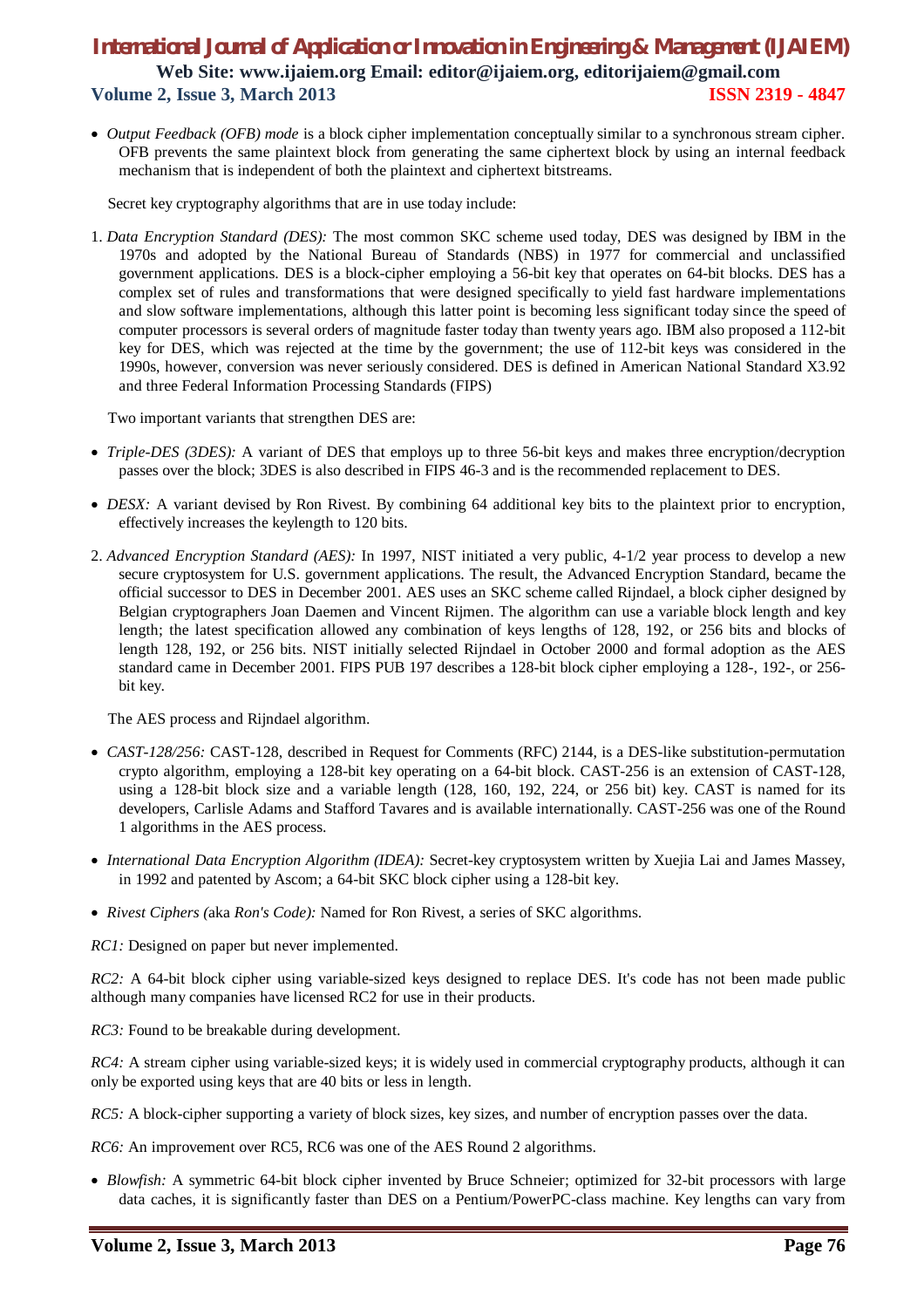*Output Feedback (OFB) mode* is a block cipher implementation conceptually similar to a synchronous stream cipher. OFB prevents the same plaintext block from generating the same ciphertext block by using an internal feedback mechanism that is independent of both the plaintext and ciphertext bitstreams.

Secret key cryptography algorithms that are in use today include:

1. *Data Encryption Standard (DES):* The most common SKC scheme used today, DES was designed by IBM in the 1970s and adopted by the National Bureau of Standards (NBS) in 1977 for commercial and unclassified government applications. DES is a block-cipher employing a 56-bit key that operates on 64-bit blocks. DES has a complex set of rules and transformations that were designed specifically to yield fast hardware implementations and slow software implementations, although this latter point is becoming less significant today since the speed of computer processors is several orders of magnitude faster today than twenty years ago. IBM also proposed a 112-bit key for DES, which was rejected at the time by the government; the use of 112-bit keys was considered in the 1990s, however, conversion was never seriously considered. DES is defined in American National Standard X3.92 and three Federal Information Processing Standards (FIPS)

Two important variants that strengthen DES are:

- *Triple-DES (3DES):* A variant of DES that employs up to three 56-bit keys and makes three encryption/decryption passes over the block; 3DES is also described in FIPS 46-3 and is the recommended replacement to DES.
- *DESX:* A variant devised by Ron Rivest. By combining 64 additional key bits to the plaintext prior to encryption, effectively increases the keylength to 120 bits.
- 2. *Advanced Encryption Standard (AES):* In 1997, NIST initiated a very public, 4-1/2 year process to develop a new secure cryptosystem for U.S. government applications. The result, the Advanced Encryption Standard, became the official successor to DES in December 2001. AES uses an SKC scheme called Rijndael, a block cipher designed by Belgian cryptographers Joan Daemen and Vincent Rijmen. The algorithm can use a variable block length and key length; the latest specification allowed any combination of keys lengths of 128, 192, or 256 bits and blocks of length 128, 192, or 256 bits. NIST initially selected Rijndael in October 2000 and formal adoption as the AES standard came in December 2001. FIPS PUB 197 describes a 128-bit block cipher employing a 128-, 192-, or 256 bit key.

The AES process and Rijndael algorithm.

- *CAST-128/256:* CAST-128, described in Request for Comments (RFC) 2144, is a DES-like substitution-permutation crypto algorithm, employing a 128-bit key operating on a 64-bit block. CAST-256 is an extension of CAST-128, using a 128-bit block size and a variable length (128, 160, 192, 224, or 256 bit) key. CAST is named for its developers, Carlisle Adams and Stafford Tavares and is available internationally. CAST-256 was one of the Round 1 algorithms in the AES process.
- *International Data Encryption Algorithm (IDEA):* Secret-key cryptosystem written by Xuejia Lai and James Massey, in 1992 and patented by Ascom; a 64-bit SKC block cipher using a 128-bit key.
- *Rivest Ciphers (*aka *Ron's Code):* Named for Ron Rivest, a series of SKC algorithms.

*RC1:* Designed on paper but never implemented.

*RC2:* A 64-bit block cipher using variable-sized keys designed to replace DES. It's code has not been made public although many companies have licensed RC2 for use in their products.

*RC3:* Found to be breakable during development.

*RC4:* A stream cipher using variable-sized keys; it is widely used in commercial cryptography products, although it can only be exported using keys that are 40 bits or less in length.

*RC5:* A block-cipher supporting a variety of block sizes, key sizes, and number of encryption passes over the data.

*RC6:* An improvement over RC5, RC6 was one of the AES Round 2 algorithms.

 *Blowfish:* A symmetric 64-bit block cipher invented by Bruce Schneier; optimized for 32-bit processors with large data caches, it is significantly faster than DES on a Pentium/PowerPC-class machine. Key lengths can vary from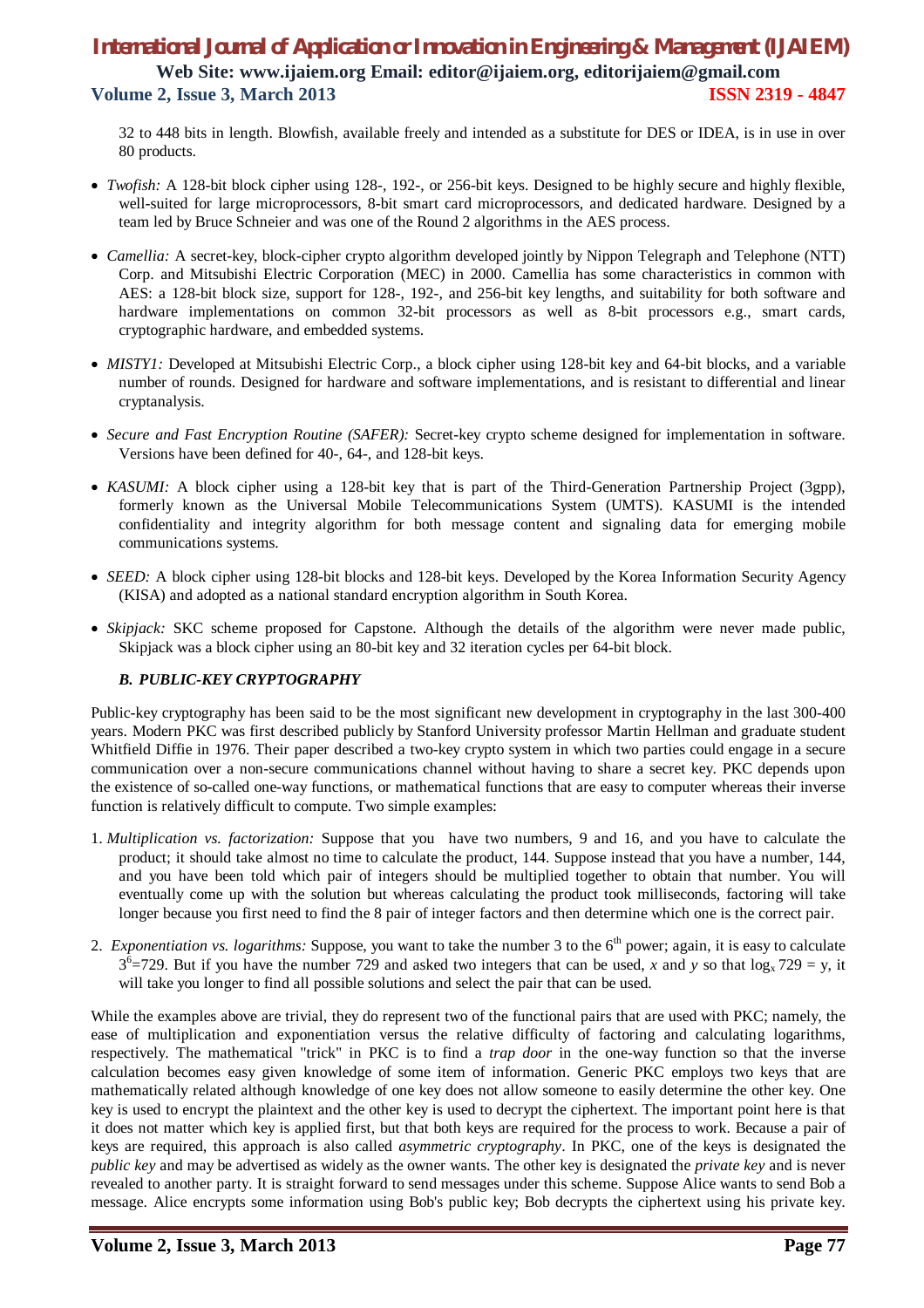32 to 448 bits in length. Blowfish, available freely and intended as a substitute for DES or IDEA, is in use in over 80 products.

- *Twofish:* A 128-bit block cipher using 128-, 192-, or 256-bit keys. Designed to be highly secure and highly flexible, well-suited for large microprocessors, 8-bit smart card microprocessors, and dedicated hardware. Designed by a team led by Bruce Schneier and was one of the Round 2 algorithms in the AES process.
- *Camellia:* A secret-key, block-cipher crypto algorithm developed jointly by Nippon Telegraph and Telephone (NTT) Corp. and Mitsubishi Electric Corporation (MEC) in 2000. Camellia has some characteristics in common with AES: a 128-bit block size, support for 128-, 192-, and 256-bit key lengths, and suitability for both software and hardware implementations on common 32-bit processors as well as 8-bit processors e.g., smart cards, cryptographic hardware, and embedded systems.
- *MISTY1:* Developed at Mitsubishi Electric Corp., a block cipher using 128-bit key and 64-bit blocks, and a variable number of rounds. Designed for hardware and software implementations, and is resistant to differential and linear cryptanalysis.
- *Secure and Fast Encryption Routine (SAFER):* Secret-key crypto scheme designed for implementation in software. Versions have been defined for 40-, 64-, and 128-bit keys.
- *KASUMI:* A block cipher using a 128-bit key that is part of the Third-Generation Partnership Project (3gpp), formerly known as the Universal Mobile Telecommunications System (UMTS). KASUMI is the intended confidentiality and integrity algorithm for both message content and signaling data for emerging mobile communications systems.
- *SEED:* A block cipher using 128-bit blocks and 128-bit keys. Developed by the Korea Information Security Agency (KISA) and adopted as a national standard encryption algorithm in South Korea.
- *Skipjack:* SKC scheme proposed for Capstone. Although the details of the algorithm were never made public, Skipjack was a block cipher using an 80-bit key and 32 iteration cycles per 64-bit block.

### *B. PUBLIC-KEY CRYPTOGRAPHY*

Public-key cryptography has been said to be the most significant new development in cryptography in the last 300-400 years. Modern PKC was first described publicly by Stanford University professor Martin Hellman and graduate student Whitfield Diffie in 1976. Their paper described a two-key crypto system in which two parties could engage in a secure communication over a non-secure communications channel without having to share a secret key. PKC depends upon the existence of so-called one-way functions, or mathematical functions that are easy to computer whereas their inverse function is relatively difficult to compute. Two simple examples:

- 1. *Multiplication vs. factorization:* Suppose that you have two numbers, 9 and 16, and you have to calculate the product; it should take almost no time to calculate the product, 144. Suppose instead that you have a number, 144, and you have been told which pair of integers should be multiplied together to obtain that number. You will eventually come up with the solution but whereas calculating the product took milliseconds, factoring will take longer because you first need to find the 8 pair of integer factors and then determine which one is the correct pair.
- 2. *Exponentiation vs. logarithms:* Suppose, you want to take the number 3 to the 6<sup>th</sup> power; again, it is easy to calculate  $3^6$ =729. But if you have the number 729 and asked two integers that can be used, x and y so that  $\log_x 729 = y$ , it will take you longer to find all possible solutions and select the pair that can be used.

While the examples above are trivial, they do represent two of the functional pairs that are used with PKC; namely, the ease of multiplication and exponentiation versus the relative difficulty of factoring and calculating logarithms, respectively. The mathematical "trick" in PKC is to find a *trap door* in the one-way function so that the inverse calculation becomes easy given knowledge of some item of information. Generic PKC employs two keys that are mathematically related although knowledge of one key does not allow someone to easily determine the other key. One key is used to encrypt the plaintext and the other key is used to decrypt the ciphertext. The important point here is that it does not matter which key is applied first, but that both keys are required for the process to work. Because a pair of keys are required, this approach is also called *asymmetric cryptography*. In PKC, one of the keys is designated the *public key* and may be advertised as widely as the owner wants. The other key is designated the *private key* and is never revealed to another party. It is straight forward to send messages under this scheme. Suppose Alice wants to send Bob a message. Alice encrypts some information using Bob's public key; Bob decrypts the ciphertext using his private key.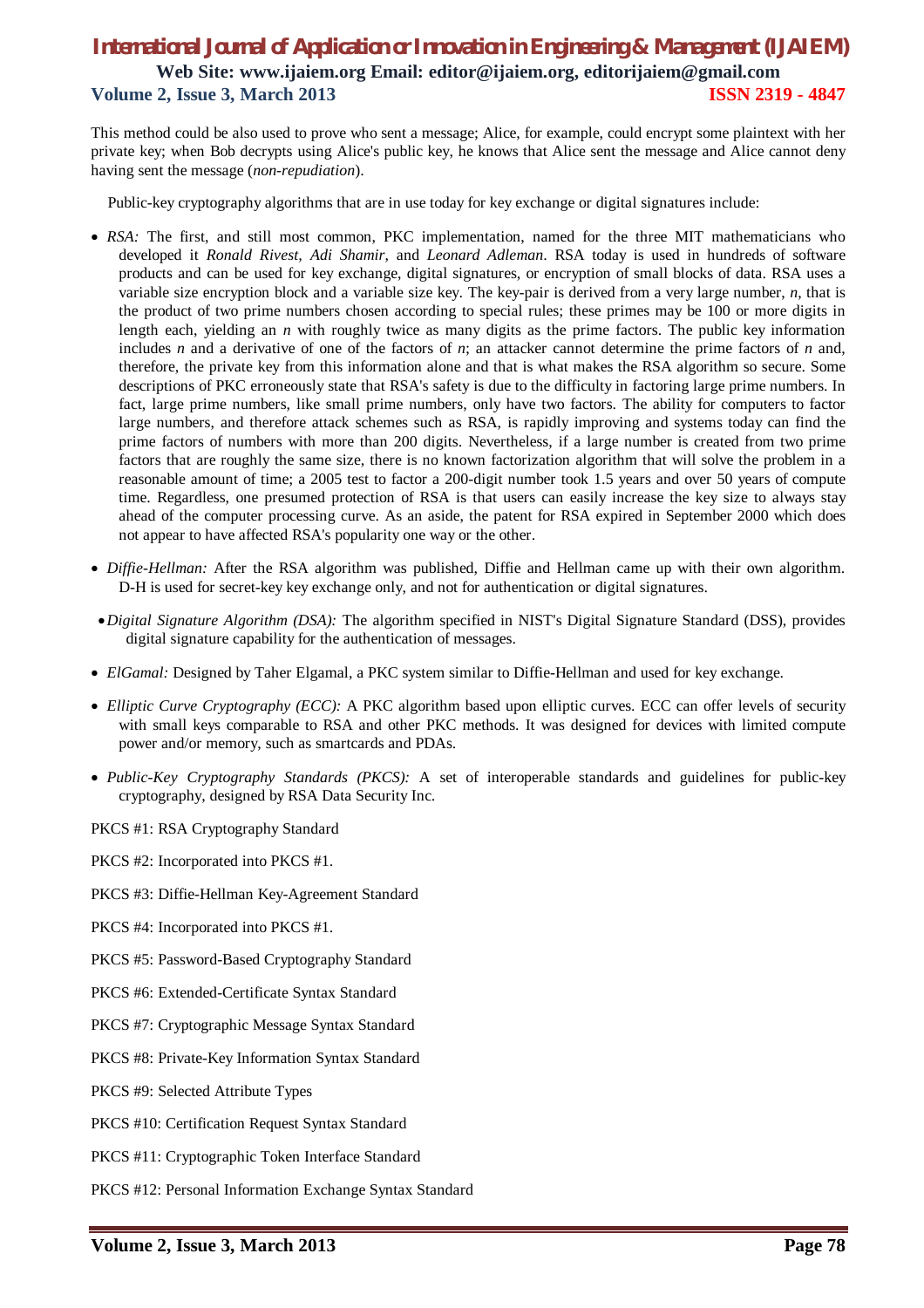This method could be also used to prove who sent a message; Alice, for example, could encrypt some plaintext with her private key; when Bob decrypts using Alice's public key, he knows that Alice sent the message and Alice cannot deny having sent the message (*non-repudiation*).

Public-key cryptography algorithms that are in use today for key exchange or digital signatures include:

- *RSA:* The first, and still most common, PKC implementation, named for the three MIT mathematicians who developed it *Ronald Rivest, Adi Shamir*, and *Leonard Adleman*. RSA today is used in hundreds of software products and can be used for key exchange, digital signatures, or encryption of small blocks of data. RSA uses a variable size encryption block and a variable size key. The key-pair is derived from a very large number, *n*, that is the product of two prime numbers chosen according to special rules; these primes may be 100 or more digits in length each, yielding an *n* with roughly twice as many digits as the prime factors. The public key information includes *n* and a derivative of one of the factors of *n*; an attacker cannot determine the prime factors of *n* and, therefore, the private key from this information alone and that is what makes the RSA algorithm so secure. Some descriptions of PKC erroneously state that RSA's safety is due to the difficulty in factoring large prime numbers. In fact, large prime numbers, like small prime numbers, only have two factors. The ability for computers to factor large numbers, and therefore attack schemes such as RSA, is rapidly improving and systems today can find the prime factors of numbers with more than 200 digits. Nevertheless, if a large number is created from two prime factors that are roughly the same size, there is no known factorization algorithm that will solve the problem in a reasonable amount of time; a 2005 test to factor a 200-digit number took 1.5 years and over 50 years of compute time. Regardless, one presumed protection of RSA is that users can easily increase the key size to always stay ahead of the computer processing curve. As an aside, the patent for RSA expired in September 2000 which does not appear to have affected RSA's popularity one way or the other.
- *Diffie-Hellman:* After the RSA algorithm was published, Diffie and Hellman came up with their own algorithm. D-H is used for secret-key key exchange only, and not for authentication or digital signatures.
- *Digital Signature Algorithm (DSA):* The algorithm specified in NIST's Digital Signature Standard (DSS), provides digital signature capability for the authentication of messages.
- *ElGamal:* Designed by Taher Elgamal, a PKC system similar to Diffie-Hellman and used for key exchange.
- *Elliptic Curve Cryptography (ECC):* A PKC algorithm based upon elliptic curves. ECC can offer levels of security with small keys comparable to RSA and other PKC methods. It was designed for devices with limited compute power and/or memory, such as smartcards and PDAs.
- *Public-Key Cryptography Standards (PKCS):* A set of interoperable standards and guidelines for public-key cryptography, designed by RSA Data Security Inc.
- PKCS #1: RSA Cryptography Standard
- PKCS #2: Incorporated into PKCS #1.
- PKCS #3: Diffie-Hellman Key-Agreement Standard
- PKCS #4: Incorporated into PKCS #1.
- PKCS #5: Password-Based Cryptography Standard
- PKCS #6: Extended-Certificate Syntax Standard
- PKCS #7: Cryptographic Message Syntax Standard
- PKCS #8: Private-Key Information Syntax Standard
- PKCS #9: Selected Attribute Types
- PKCS #10: Certification Request Syntax Standard
- PKCS #11: Cryptographic Token Interface Standard
- PKCS #12: Personal Information Exchange Syntax Standard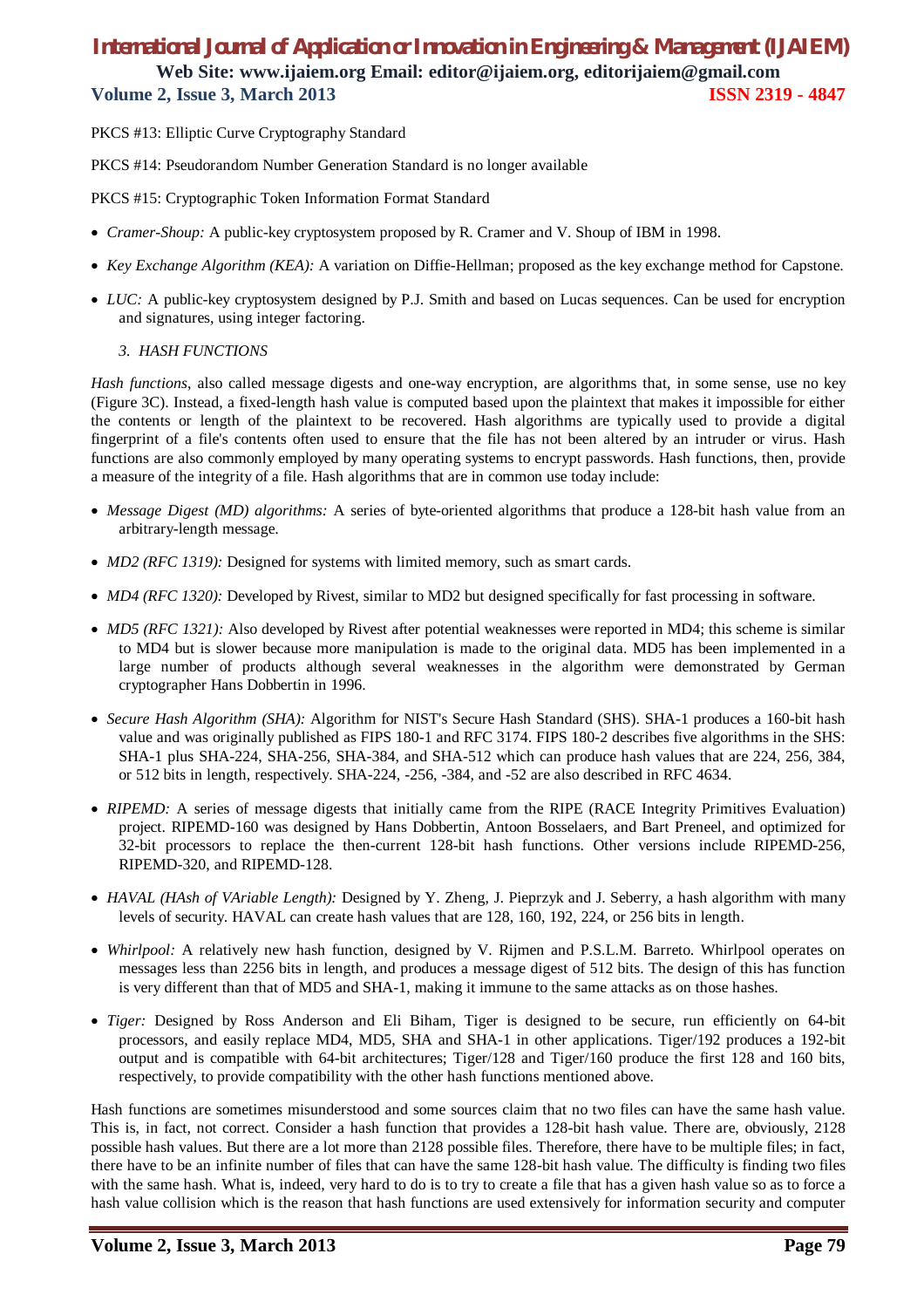PKCS #13: Elliptic Curve Cryptography Standard

PKCS #14: Pseudorandom Number Generation Standard is no longer available

PKCS #15: Cryptographic Token Information Format Standard

- *Cramer-Shoup:* A public-key cryptosystem proposed by R. Cramer and V. Shoup of IBM in 1998.
- *Key Exchange Algorithm (KEA):* A variation on Diffie-Hellman; proposed as the key exchange method for Capstone.
- *LUC:* A public-key cryptosystem designed by P.J. Smith and based on Lucas sequences. Can be used for encryption and signatures, using integer factoring.

### *3. HASH FUNCTIONS*

*Hash functions*, also called message digests and one-way encryption, are algorithms that, in some sense, use no key (Figure 3C). Instead, a fixed-length hash value is computed based upon the plaintext that makes it impossible for either the contents or length of the plaintext to be recovered. Hash algorithms are typically used to provide a digital fingerprint of a file's contents often used to ensure that the file has not been altered by an intruder or virus. Hash functions are also commonly employed by many operating systems to encrypt passwords. Hash functions, then, provide a measure of the integrity of a file. Hash algorithms that are in common use today include:

- *Message Digest (MD) algorithms:* A series of byte-oriented algorithms that produce a 128-bit hash value from an arbitrary-length message.
- *MD2 (RFC 1319):* Designed for systems with limited memory, such as smart cards.
- *MD4 (RFC 1320):* Developed by Rivest, similar to MD2 but designed specifically for fast processing in software.
- *MD5 (RFC 1321):* Also developed by Rivest after potential weaknesses were reported in MD4; this scheme is similar to MD4 but is slower because more manipulation is made to the original data. MD5 has been implemented in a large number of products although several weaknesses in the algorithm were demonstrated by German cryptographer Hans Dobbertin in 1996.
- *Secure Hash Algorithm (SHA):* Algorithm for NIST's Secure Hash Standard (SHS). SHA-1 produces a 160-bit hash value and was originally published as FIPS 180-1 and RFC 3174. FIPS 180-2 describes five algorithms in the SHS: SHA-1 plus SHA-224, SHA-256, SHA-384, and SHA-512 which can produce hash values that are 224, 256, 384, or 512 bits in length, respectively. SHA-224, -256, -384, and -52 are also described in RFC 4634.
- *RIPEMD:* A series of message digests that initially came from the RIPE (RACE Integrity Primitives Evaluation) project. RIPEMD-160 was designed by Hans Dobbertin, Antoon Bosselaers, and Bart Preneel, and optimized for 32-bit processors to replace the then-current 128-bit hash functions. Other versions include RIPEMD-256, RIPEMD-320, and RIPEMD-128.
- *HAVAL (HAsh of VAriable Length):* Designed by Y. Zheng, J. Pieprzyk and J. Seberry, a hash algorithm with many levels of security. HAVAL can create hash values that are 128, 160, 192, 224, or 256 bits in length.
- *Whirlpool:* A relatively new hash function, designed by V. Rijmen and P.S.L.M. Barreto. Whirlpool operates on messages less than 2256 bits in length, and produces a message digest of 512 bits. The design of this has function is very different than that of MD5 and SHA-1, making it immune to the same attacks as on those hashes.
- *Tiger:* Designed by Ross Anderson and Eli Biham, Tiger is designed to be secure, run efficiently on 64-bit processors, and easily replace MD4, MD5, SHA and SHA-1 in other applications. Tiger/192 produces a 192-bit output and is compatible with 64-bit architectures; Tiger/128 and Tiger/160 produce the first 128 and 160 bits, respectively, to provide compatibility with the other hash functions mentioned above.

Hash functions are sometimes misunderstood and some sources claim that no two files can have the same hash value. This is, in fact, not correct. Consider a hash function that provides a 128-bit hash value. There are, obviously, 2128 possible hash values. But there are a lot more than 2128 possible files. Therefore, there have to be multiple files; in fact, there have to be an infinite number of files that can have the same 128-bit hash value. The difficulty is finding two files with the same hash. What is, indeed, very hard to do is to try to create a file that has a given hash value so as to force a hash value collision which is the reason that hash functions are used extensively for information security and computer